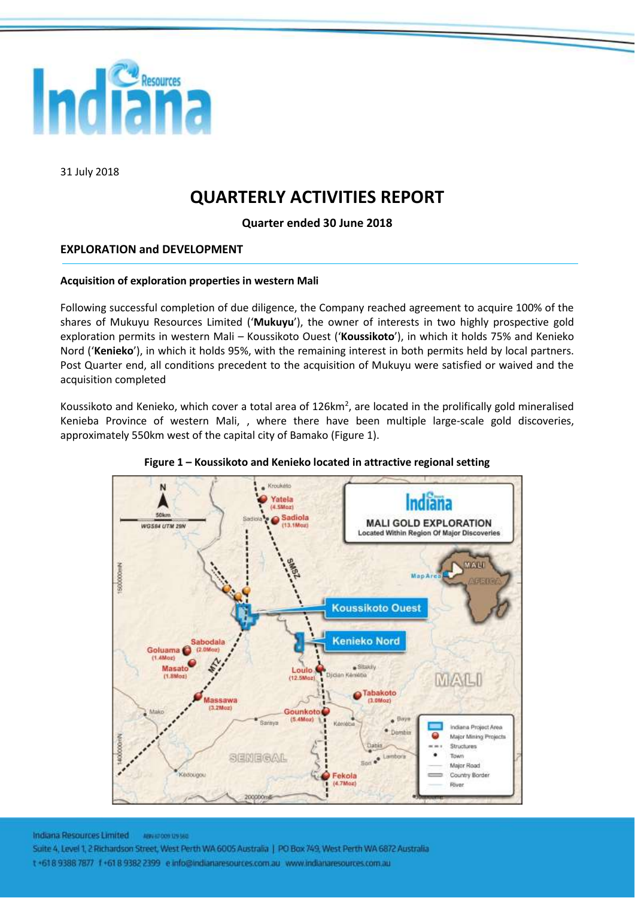

31 July 2018

# **QUARTERLY ACTIVITIES REPORT**

**Quarter ended 30 June 2018**

# **EXPLORATION and DEVELOPMENT**

# **Acquisition of exploration properties in western Mali**

Following successful completion of due diligence, the Company reached agreement to acquire 100% of the shares of Mukuyu Resources Limited ('**Mukuyu**'), the owner of interests in two highly prospective gold exploration permits in western Mali – Koussikoto Ouest ('**Koussikoto**'), in which it holds 75% and Kenieko Nord ('**Kenieko**'), in which it holds 95%, with the remaining interest in both permits held by local partners. Post Quarter end, all conditions precedent to the acquisition of Mukuyu were satisfied or waived and the acquisition completed

Koussikoto and Kenieko, which cover a total area of 126km<sup>2</sup>, are located in the prolifically gold mineralised Kenieba Province of western Mali, , where there have been multiple large-scale gold discoveries, approximately 550km west of the capital city of Bamako [\(Figure 1\)](#page-0-0).

<span id="page-0-0"></span>

#### **Figure 1 – Koussikoto and Kenieko located in attractive regional setting**

Indiana Resources Limited **ABRAIL CON 129 560** 

Suite 4, Level 1, 2 Richardson Street. West Perth WA 6005 Australia | PO Box 749, West Perth WA 6872 Australia t +618 9388 7877 f +61 8 9382 2399 e info@indianaresources.com.au www.indianaresources.com.au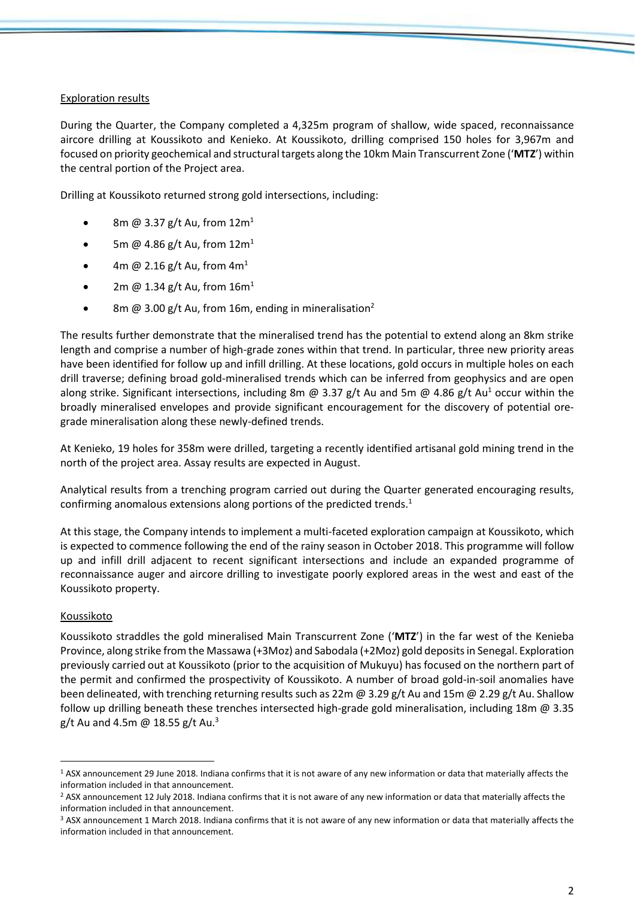# Exploration results

During the Quarter, the Company completed a 4,325m program of shallow, wide spaced, reconnaissance aircore drilling at Koussikoto and Kenieko. At Koussikoto, drilling comprised 150 holes for 3,967m and focused on priority geochemical and structural targets along the 10km Main Transcurrent Zone ('**MTZ**') within the central portion of the Project area.

Drilling at Koussikoto returned strong gold intersections, including:

- 8m @ 3.37 g/t Au, from  $12m<sup>1</sup>$
- 5m @ 4.86 g/t Au, from  $12m<sup>1</sup>$
- 4m @ 2.16 g/t Au, from  $4m<sup>1</sup>$
- 2m @ 1.34 g/t Au, from  $16m<sup>1</sup>$
- 8m  $\omega$  3.00 g/t Au, from 16m, ending in mineralisation<sup>2</sup>

The results further demonstrate that the mineralised trend has the potential to extend along an 8km strike length and comprise a number of high-grade zones within that trend. In particular, three new priority areas have been identified for follow up and infill drilling. At these locations, gold occurs in multiple holes on each drill traverse; defining broad gold-mineralised trends which can be inferred from geophysics and are open along strike. Significant intersections, including 8m @ 3.37 g/t Au and 5m @ 4.86 g/t Au<sup>1</sup> occur within the broadly mineralised envelopes and provide significant encouragement for the discovery of potential oregrade mineralisation along these newly-defined trends.

At Kenieko, 19 holes for 358m were drilled, targeting a recently identified artisanal gold mining trend in the north of the project area. Assay results are expected in August.

Analytical results from a trenching program carried out during the Quarter generated encouraging results, confirming anomalous extensions along portions of the predicted trends.<sup>1</sup>

At this stage, the Company intends to implement a multi-faceted exploration campaign at Koussikoto, which is expected to commence following the end of the rainy season in October 2018. This programme will follow up and infill drill adjacent to recent significant intersections and include an expanded programme of reconnaissance auger and aircore drilling to investigate poorly explored areas in the west and east of the Koussikoto property.

# Koussikoto

 $\overline{a}$ 

Koussikoto straddles the gold mineralised Main Transcurrent Zone ('**MTZ**') in the far west of the Kenieba Province, along strike from the Massawa (+3Moz) and Sabodala (+2Moz) gold deposits in Senegal. Exploration previously carried out at Koussikoto (prior to the acquisition of Mukuyu) has focused on the northern part of the permit and confirmed the prospectivity of Koussikoto. A number of broad gold-in-soil anomalies have been delineated, with trenching returning results such as 22m @ 3.29 g/t Au and 15m @ 2.29 g/t Au. Shallow follow up drilling beneath these trenches intersected high-grade gold mineralisation, including 18m @ 3.35 g/t Au and 4.5m @ 18.55 g/t Au.<sup>3</sup>

<sup>&</sup>lt;sup>1</sup> ASX announcement 29 June 2018. Indiana confirms that it is not aware of any new information or data that materially affects the information included in that announcement.

<sup>&</sup>lt;sup>2</sup> ASX announcement 12 July 2018. Indiana confirms that it is not aware of any new information or data that materially affects the information included in that announcement.

<sup>&</sup>lt;sup>3</sup> ASX announcement 1 March 2018. Indiana confirms that it is not aware of any new information or data that materially affects the information included in that announcement.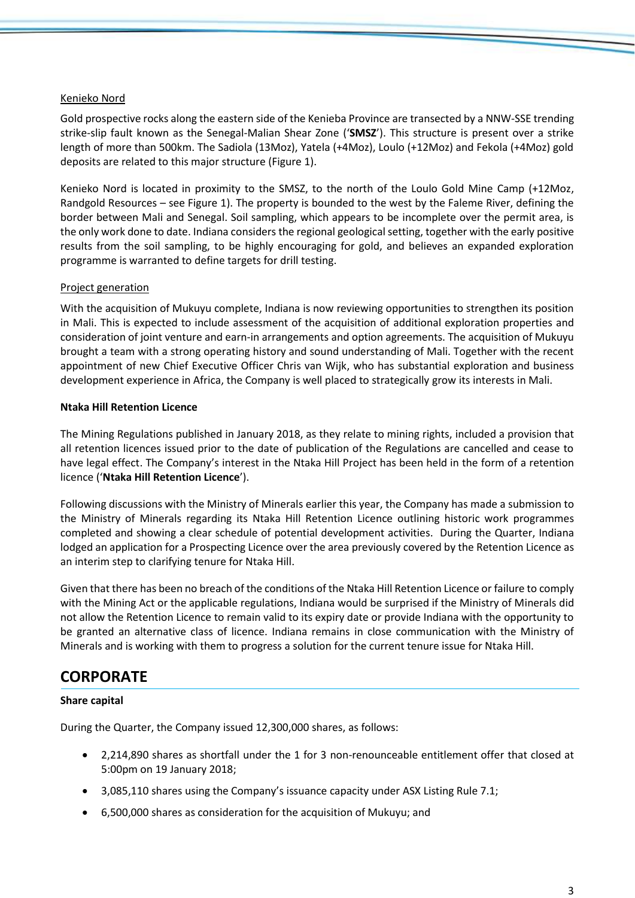# Kenieko Nord

Gold prospective rocks along the eastern side of the Kenieba Province are transected by a NNW-SSE trending strike-slip fault known as the Senegal-Malian Shear Zone ('**SMSZ**'). This structure is present over a strike length of more than 500km. The Sadiola (13Moz), Yatela (+4Moz), Loulo (+12Moz) and Fekola (+4Moz) gold deposits are related to this major structure [\(Figure 1\)](#page-0-0).

Kenieko Nord is located in proximity to the SMSZ, to the north of the Loulo Gold Mine Camp (+12Moz, Randgold Resources – see [Figure 1\)](#page-0-0). The property is bounded to the west by the Faleme River, defining the border between Mali and Senegal. Soil sampling, which appears to be incomplete over the permit area, is the only work done to date. Indiana considers the regional geological setting, together with the early positive results from the soil sampling, to be highly encouraging for gold, and believes an expanded exploration programme is warranted to define targets for drill testing.

# Project generation

With the acquisition of Mukuyu complete, Indiana is now reviewing opportunities to strengthen its position in Mali. This is expected to include assessment of the acquisition of additional exploration properties and consideration of joint venture and earn-in arrangements and option agreements. The acquisition of Mukuyu brought a team with a strong operating history and sound understanding of Mali. Together with the recent appointment of new Chief Executive Officer Chris van Wijk, who has substantial exploration and business development experience in Africa, the Company is well placed to strategically grow its interests in Mali.

#### **Ntaka Hill Retention Licence**

The Mining Regulations published in January 2018, as they relate to mining rights, included a provision that all retention licences issued prior to the date of publication of the Regulations are cancelled and cease to have legal effect. The Company's interest in the Ntaka Hill Project has been held in the form of a retention licence ('**Ntaka Hill Retention Licence**').

Following discussions with the Ministry of Minerals earlier this year, the Company has made a submission to the Ministry of Minerals regarding its Ntaka Hill Retention Licence outlining historic work programmes completed and showing a clear schedule of potential development activities. During the Quarter, Indiana lodged an application for a Prospecting Licence over the area previously covered by the Retention Licence as an interim step to clarifying tenure for Ntaka Hill.

Given that there has been no breach of the conditions of the Ntaka Hill Retention Licence or failure to comply with the Mining Act or the applicable regulations, Indiana would be surprised if the Ministry of Minerals did not allow the Retention Licence to remain valid to its expiry date or provide Indiana with the opportunity to be granted an alternative class of licence. Indiana remains in close communication with the Ministry of Minerals and is working with them to progress a solution for the current tenure issue for Ntaka Hill.

# **CORPORATE**

# **Share capital**

During the Quarter, the Company issued 12,300,000 shares, as follows:

- 2,214,890 shares as shortfall under the 1 for 3 non-renounceable entitlement offer that closed at 5:00pm on 19 January 2018;
- 3,085,110 shares using the Company's issuance capacity under ASX Listing Rule 7.1;
- 6,500,000 shares as consideration for the acquisition of Mukuyu; and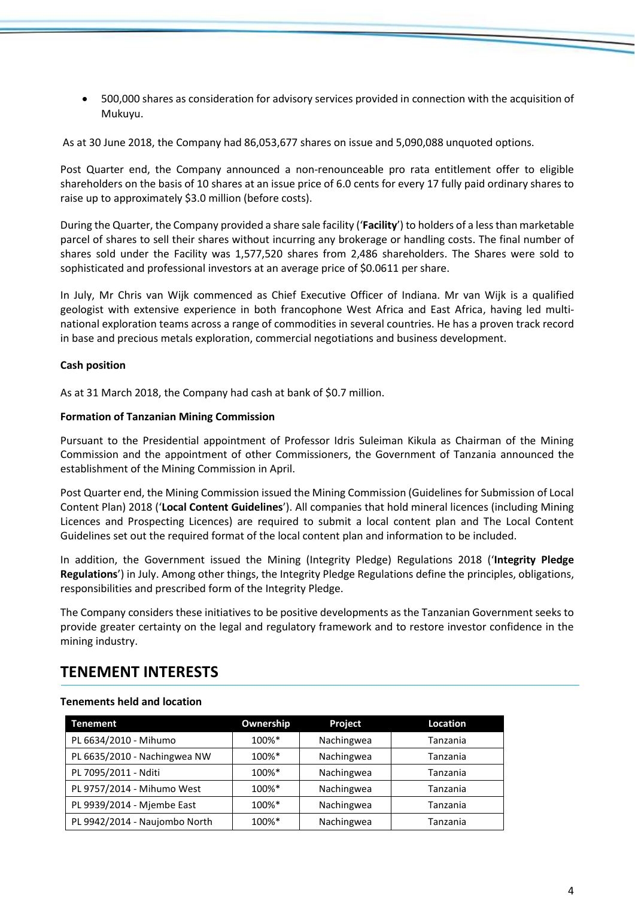• 500,000 shares as consideration for advisory services provided in connection with the acquisition of Mukuyu.

As at 30 June 2018, the Company had 86,053,677 shares on issue and 5,090,088 unquoted options.

Post Quarter end, the Company announced a non-renounceable pro rata entitlement offer to eligible shareholders on the basis of 10 shares at an issue price of 6.0 cents for every 17 fully paid ordinary shares to raise up to approximately \$3.0 million (before costs).

During the Quarter, the Company provided a share sale facility ('**Facility**') to holders of a less than marketable parcel of shares to sell their shares without incurring any brokerage or handling costs. The final number of shares sold under the Facility was 1,577,520 shares from 2,486 shareholders. The Shares were sold to sophisticated and professional investors at an average price of \$0.0611 per share.

In July, Mr Chris van Wijk commenced as Chief Executive Officer of Indiana. Mr van Wijk is a qualified geologist with extensive experience in both francophone West Africa and East Africa, having led multinational exploration teams across a range of commodities in several countries. He has a proven track record in base and precious metals exploration, commercial negotiations and business development.

# **Cash position**

As at 31 March 2018, the Company had cash at bank of \$0.7 million.

#### **Formation of Tanzanian Mining Commission**

Pursuant to the Presidential appointment of Professor Idris Suleiman Kikula as Chairman of the Mining Commission and the appointment of other Commissioners, the Government of Tanzania announced the establishment of the Mining Commission in April.

Post Quarter end, the Mining Commission issued the Mining Commission (Guidelines for Submission of Local Content Plan) 2018 ('**Local Content Guidelines**'). All companies that hold mineral licences (including Mining Licences and Prospecting Licences) are required to submit a local content plan and The Local Content Guidelines set out the required format of the local content plan and information to be included.

In addition, the Government issued the Mining (Integrity Pledge) Regulations 2018 ('**Integrity Pledge Regulations**') in July. Among other things, the Integrity Pledge Regulations define the principles, obligations, responsibilities and prescribed form of the Integrity Pledge.

The Company considers these initiatives to be positive developments as the Tanzanian Government seeks to provide greater certainty on the legal and regulatory framework and to restore investor confidence in the mining industry.

# **TENEMENT INTERESTS**

#### **Tenements held and location**

| <b>Tenement</b>               | Ownership | Project    | Location |
|-------------------------------|-----------|------------|----------|
| PL 6634/2010 - Mihumo         | 100%*     | Nachingwea | Tanzania |
| PL 6635/2010 - Nachingwea NW  | 100%*     | Nachingwea | Tanzania |
| PL 7095/2011 - Nditi          | 100%*     | Nachingwea | Tanzania |
| PL 9757/2014 - Mihumo West    | 100%*     | Nachingwea | Tanzania |
| PL 9939/2014 - Mjembe East    | 100%*     | Nachingwea | Tanzania |
| PL 9942/2014 - Naujombo North | 100%*     | Nachingwea | Tanzania |